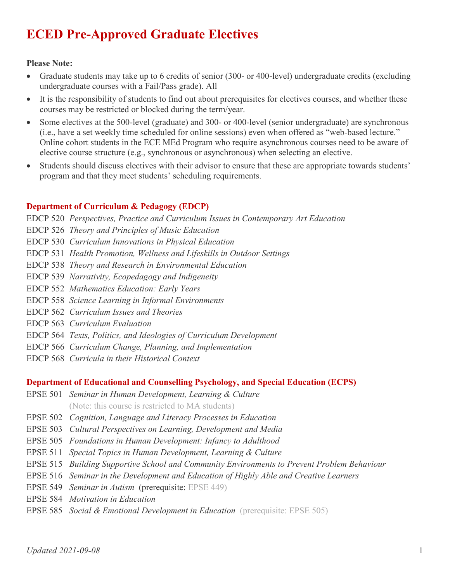# **ECED Pre-Approved Graduate Electives**

#### **Please Note:**

- Graduate students may take up to 6 credits of senior (300- or 400-level) undergraduate credits (excluding undergraduate courses with a Fail/Pass grade). All
- It is the responsibility of students to find out about prerequisites for electives courses, and whether these courses may be restricted or blocked during the term/year.
- Some electives at the 500-level (graduate) and 300- or 400-level (senior undergraduate) are synchronous (i.e., have a set weekly time scheduled for online sessions) even when offered as "web-based lecture." Online cohort students in the ECE MEd Program who require asynchronous courses need to be aware of elective course structure (e.g., synchronous or asynchronous) when selecting an elective.
- Students should discuss electives with their advisor to ensure that these are appropriate towards students' program and that they meet students' scheduling requirements.

## **Department of Curriculum & Pedagogy (EDCP)**

EDCP 520 *Perspectives, Practice and Curriculum Issues in Contemporary Art Education*

EDCP 526 *Theory and Principles of Music Education*

- EDCP 530 *Curriculum Innovations in Physical Education*
- EDCP 531 *Health Promotion, Wellness and Lifeskills in Outdoor Settings*
- EDCP 538 *Theory and Research in Environmental Education*
- EDCP 539 *Narrativity, Ecopedagogy and Indigeneity*
- EDCP 552 *Mathematics Education: Early Years*
- EDCP 558 *Science Learning in Informal Environments*
- EDCP 562 *Curriculum Issues and Theories*
- EDCP 563 *Curriculum Evaluation*
- EDCP 564 *Texts, Politics, and Ideologies of Curriculum Development*
- EDCP 566 *Curriculum Change, Planning, and Implementation*
- EDCP 568 *Curricula in their Historical Context*

#### **Department of Educational and Counselling Psychology, and Special Education (ECPS)**

- EPSE 501 *Seminar in Human Development, Learning & Culture* (Note: this course is restricted to MA students)
- EPSE 502 *Cognition, Language and Literacy Processes in Education*
- EPSE 503 *Cultural Perspectives on Learning, Development and Media*
- EPSE 505 *Foundations in Human Development: Infancy to Adulthood*
- EPSE 511 *Special Topics in Human Development, Learning & Culture*
- EPSE 515 *Building Supportive School and Community Environments to Prevent Problem Behaviour*
- EPSE 516 *Seminar in the Development and Education of Highly Able and Creative Learners*
- EPSE 549 *Seminar in Autism* (prerequisite: EPSE 449)
- EPSE 584 *Motivation in Education*
- EPSE 585 *Social & Emotional Development in Education* (prerequisite: EPSE 505)